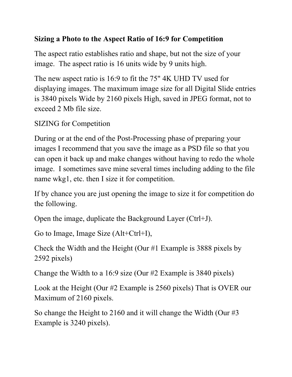## **Sizing a Photo to the Aspect Ratio of 16:9 for Competition**

The aspect ratio establishes ratio and shape, but not the size of your image. The aspect ratio is 16 units wide by 9 units high.

The new aspect ratio is 16:9 to fit the 75" 4K UHD TV used for displaying images. The maximum image size for all Digital Slide entries is 3840 pixels Wide by 2160 pixels High, saved in JPEG format, not to exceed 2 Mb file size.

SIZING for Competition

During or at the end of the Post-Processing phase of preparing your images I recommend that you save the image as a PSD file so that you can open it back up and make changes without having to redo the whole image. I sometimes save mine several times including adding to the file name wkg1, etc. then I size it for competition.

If by chance you are just opening the image to size it for competition do the following.

Open the image, duplicate the Background Layer (Ctrl+J).

Go to Image, Image Size (Alt+Ctrl+I),

Check the Width and the Height (Our #1 Example is 3888 pixels by 2592 pixels)

Change the Width to a 16:9 size (Our #2 Example is 3840 pixels)

Look at the Height (Our #2 Example is 2560 pixels) That is OVER our Maximum of 2160 pixels.

So change the Height to 2160 and it will change the Width (Our #3 Example is 3240 pixels).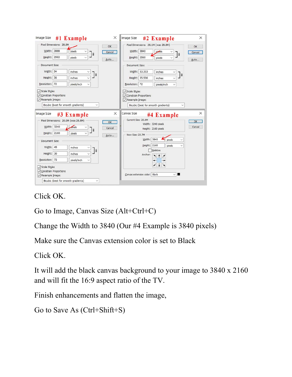| <b>Image Size</b><br>#1 Example                                                                                       | X<br>Image Size<br>#2 Example                                                                                                                                      | X              |
|-----------------------------------------------------------------------------------------------------------------------|--------------------------------------------------------------------------------------------------------------------------------------------------------------------|----------------|
| Pixel Dimensions: 28.8M<br>Width: 3888<br>pixels<br>$\checkmark$<br>18<br>Height: 2592<br>pixels<br>Document Size:    | Pixel Dimensions: 28.1M (was 28.8M)<br>OK<br>OK<br>Width: 3840<br>pixels<br>Cancel<br>$\sqrt{2}$<br>Height: 2560<br>pixels<br>Auto<br>Document Size:               | Cancel<br>Auto |
| Width: 54<br>inches<br>18<br>Height:<br>36<br>inches<br>Resolution: 72<br>pixels/inch<br>Scale Styles<br>$\checkmark$ | Width: 53.333<br>inches<br> 8<br>Height: 35.556<br>inches<br>Resolution: 72<br>pixels/inch<br>$\checkmark$<br>Scale Styles                                         |                |
| Constrain Proportions<br>Resample Image:<br>Bicubic (best for smooth gradients)<br><b>Image Size</b>                  | Constrain Proportions<br>Resample Image:<br>Bicubic (best for smooth gradients)<br><b>Canvas Size</b><br>X                                                         | $\times$       |
| #3 Example<br>Pixel Dimensions: 20.0M (was 28.8M)<br>Width: 3240<br>pixels<br> 8<br>Height: 2160<br>pixels            | #4 Example<br>Current Size: 20.0M<br>OK<br>Width: 3240 pixels<br>Cancel<br>Height: 2160 pixels<br>New Size: 23.7M<br>Auto<br>Width: 3840<br>pixels<br>$\checkmark$ | OK<br>Cancel   |
| Document Size:<br>Width: 45<br>inches<br> 8 <br>Height: 30<br>inches<br>Resolution: 72<br>pixels/inch                 | Height: 2160<br>pixels<br>$\checkmark$<br>Relative<br>Anchor:                                                                                                      |                |
| Scale Styles<br>Constrain Proportions<br>Resample Image:<br>Bicubic (best for smooth gradients)<br>$\checkmark$       | Canvas extension color: Black                                                                                                                                      |                |

Click OK.

Go to Image, Canvas Size (Alt+Ctrl+C)

Change the Width to 3840 (Our #4 Example is 3840 pixels)

Make sure the Canvas extension color is set to Black

Click OK.

It will add the black canvas background to your image to 3840 x 2160 and will fit the 16:9 aspect ratio of the TV.

Finish enhancements and flatten the image,

```
Go to Save As (Ctrl+Shift+S)
```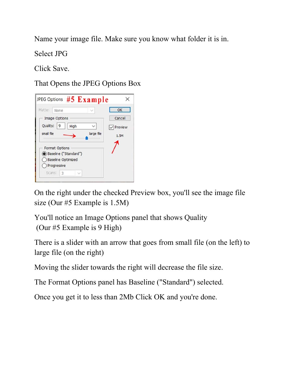Name your image file. Make sure you know what folder it is in.

Select JPG

Click Save.

That Opens the JPEG Options Box



On the right under the checked Preview box, you'll see the image file size (Our #5 Example is 1.5M)

You'll notice an Image Options panel that shows Quality (Our #5 Example is 9 High)

There is a slider with an arrow that goes from small file (on the left) to large file (on the right)

Moving the slider towards the right will decrease the file size.

The Format Options panel has Baseline ("Standard") selected.

Once you get it to less than 2Mb Click OK and you're done.